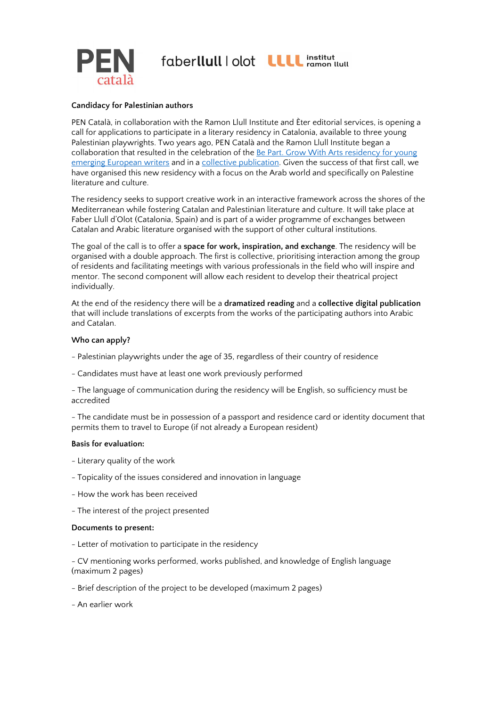



# Candidacy for Palestinian authors

PEN Català, in collaboration with the Ramon Llull Institute and Èter editorial services, is opening a call for applications to participate in a literary residency in Catalonia, available to three young Palestinian playwrights. Two years ago, PEN Català and the Ramon Llull Institute began a collaboration that resulted in the celebration of the Be Part. Grow With Arts residency for young emerging European writers and in a collective publication. Given the success of that first call, we have organised this new residency with a focus on the Arab world and specifically on Palestine literature and culture.

The residency seeks to support creative work in an interactive framework across the shores of the Mediterranean while fostering Catalan and Palestinian literature and culture. It will take place at Faber Llull d'Olot (Catalonia, Spain) and is part of a wider programme of exchanges between Catalan and Arabic literature organised with the support of other cultural institutions.

The goal of the call is to offer a space for work, inspiration, and exchange. The residency will be organised with a double approach. The first is collective, prioritising interaction among the group of residents and facilitating meetings with various professionals in the field who will inspire and mentor. The second component will allow each resident to develop their theatrical project individually.

At the end of the residency there will be a dramatized reading and a collective digital publication that will include translations of excerpts from the works of the participating authors into Arabic and Catalan.

### Who can apply?

- Palestinian playwrights under the age of 35, regardless of their country of residence
- Candidates must have at least one work previously performed

- The language of communication during the residency will be English, so sufficiency must be accredited

- The candidate must be in possession of a passport and residence card or identity document that permits them to travel to Europe (if not already a European resident)

#### Basis for evaluation:

- Literary quality of the work
- Topicality of the issues considered and innovation in language
- How the work has been received
- The interest of the project presented

#### Documents to present:

- Letter of motivation to participate in the residency

- CV mentioning works performed, works published, and knowledge of English language (maximum 2 pages)

- Brief description of the project to be developed (maximum 2 pages)
- An earlier work